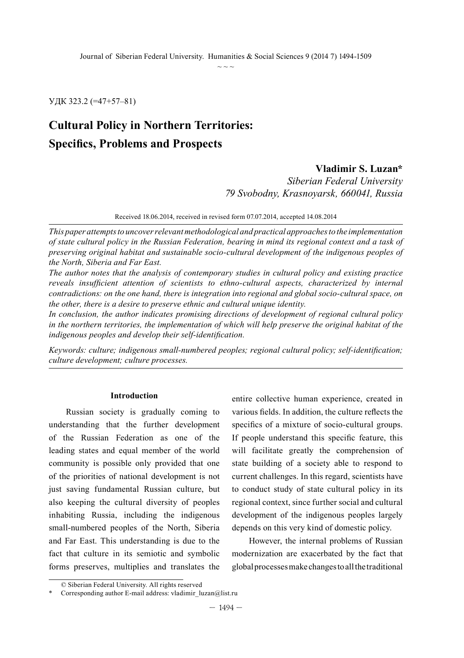УДК 323.2 (=47+57–81)

# **Cultural Policy in Northern Territories: Specifics, Problems and Prospects**

### **Vladimir S. Luzan\***

*Siberian Federal University 79 Svobodny, Krasnoyarsk, 660041, Russia*

Received 18.06.2014, received in revised form 07.07.2014, accepted 14.08.2014

*This paper attempts to uncover relevant methodological and practical approaches to the implementation of state cultural policy in the Russian Federation, bearing in mind its regional context and a task of preserving original habitat and sustainable socio-cultural development of the indigenous peoples of the North, Siberia and Far East.*

*The author notes that the analysis of contemporary studies in cultural policy and existing practice reveals insufficient attention of scientists to ethno-cultural aspects, characterized by internal contradictions: on the one hand, there is integration into regional and global socio-cultural space, on the other, there is a desire to preserve ethnic and cultural unique identity.*

*In conclusion, the author indicates promising directions of development of regional cultural policy in the northern territories, the implementation of which will help preserve the original habitat of the indigenous peoples and develop their self-identification.* 

*Keywords: сulture; indigenous small-numbered peoples; regional cultural policy; self-identification; culture development; culture processes.*

### **Introduction**

Russian society is gradually coming to understanding that the further development of the Russian Federation as one of the leading states and equal member of the world community is possible only provided that one of the priorities of national development is not just saving fundamental Russian culture, but also keeping the cultural diversity of peoples inhabiting Russia, including the indigenous small-numbered peoples of the North, Siberia and Far East. This understanding is due to the fact that culture in its semiotic and symbolic forms preserves, multiplies and translates the

entire collective human experience, created in various fields. In addition, the culture reflects the specifics of a mixture of socio-cultural groups. If people understand this specific feature, this will facilitate greatly the comprehension of state building of a society able to respond to current challenges. In this regard, scientists have to conduct study of state cultural policy in its regional context, since further social and cultural development of the indigenous peoples largely depends on this very kind of domestic policy.

However, the internal problems of Russian modernization are exacerbated by the fact that global processes make changes to all the traditional

<sup>©</sup> Siberian Federal University. All rights reserved

Corresponding author E-mail address: vladimir\_luzan@list.ru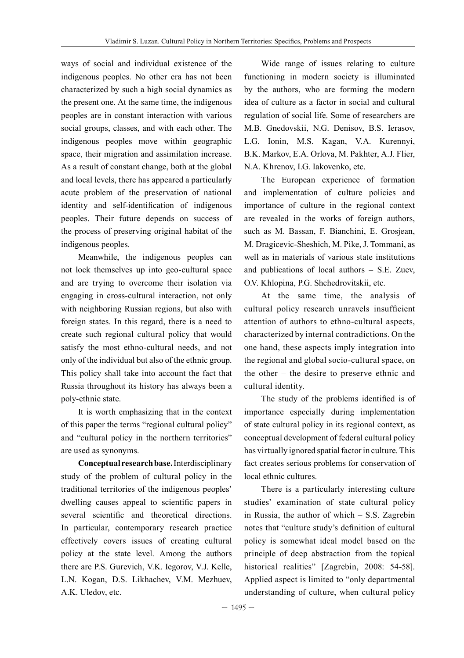ways of social and individual existence of the indigenous peoples. No other era has not been characterized by such a high social dynamics as the present one. At the same time, the indigenous peoples are in constant interaction with various social groups, classes, and with each other. The indigenous peoples move within geographic space, their migration and assimilation increase. As a result of constant change, both at the global and local levels, there has appeared a particularly acute problem of the preservation of national identity and self-identification of indigenous peoples. Their future depends on success of the process of preserving original habitat of the indigenous peoples.

Meanwhile, the indigenous peoples can not lock themselves up into geo-cultural space and are trying to overcome their isolation via engaging in cross-cultural interaction, not only with neighboring Russian regions, but also with foreign states. In this regard, there is a need to create such regional cultural policy that would satisfy the most ethno-cultural needs, and not only of the individual but also of the ethnic group. This policy shall take into account the fact that Russia throughout its history has always been a poly-ethnic state.

It is worth emphasizing that in the context of this paper the terms "regional cultural policy" and "cultural policy in the northern territories" are used as synonyms.

**Conceptual research base.** Interdisciplinary study of the problem of cultural policy in the traditional territories of the indigenous peoples' dwelling causes appeal to scientific papers in several scientific and theoretical directions. In particular, contemporary research practice effectively covers issues of creating cultural policy at the state level. Among the authors there are P.S. Gurevich, V.K. Iegorov, V.J. Kelle, L.N. Kogan, D.S. Likhachev, V.M. Mezhuev, A.K. Uledov, etc.

Wide range of issues relating to culture functioning in modern society is illuminated by the authors, who are forming the modern idea of culture as a factor in social and cultural regulation of social life. Some of researchers are M.B. Gnedovskii, N.G. Denisov, B.S. Ierasov, L.G. Ionin, M.S. Kagan, V.A. Kurennyi, B.K. Markov, E.A. Orlova, M. Pakhter, A.J. Flier, N.A. Khrenov, I.G. Iakovenko, etc.

The European experience of formation and implementation of culture policies and importance of culture in the regional context are revealed in the works of foreign authors, such as M. Bassan, F. Bianchini, E. Grosjean, M. Dragicevic-Sheshich, M. Pike, J. Tommani, as well as in materials of various state institutions and publications of local authors – S.E. Zuev, O.V. Khlopina, P.G. Shchedrovitskii, etc.

At the same time, the analysis of cultural policy research unravels insufficient attention of authors to ethno-cultural aspects, characterized by internal contradictions. On the one hand, these aspects imply integration into the regional and global socio-cultural space, on the other – the desire to preserve ethnic and cultural identity.

The study of the problems identified is of importance especially during implementation of state cultural policy in its regional context, as conceptual development of federal cultural policy has virtually ignored spatial factor in culture. This fact creates serious problems for conservation of local ethnic cultures.

There is a particularly interesting culture studies' examination of state cultural policy in Russia, the author of which – S.S. Zagrebin notes that "culture study's definition of cultural policy is somewhat ideal model based on the principle of deep abstraction from the topical historical realities" [Zagrebin, 2008: 54-58]. Applied aspect is limited to "only departmental understanding of culture, when cultural policy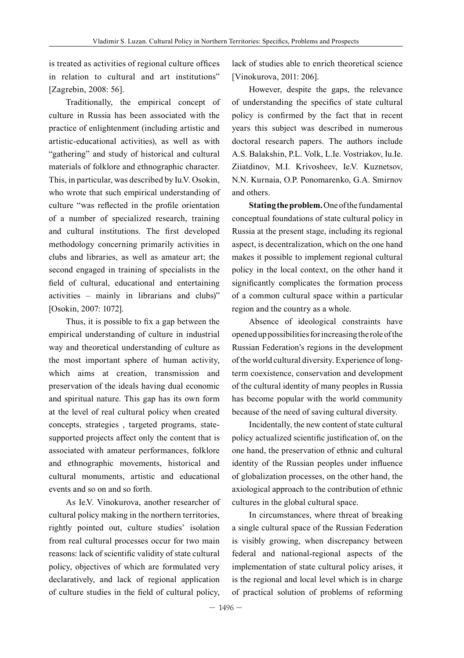is treated as activities of regional culture offices in relation to cultural and art institutions" [Zagrebin, 2008: 56].

Traditionally, the empirical concept of culture in Russia has been associated with the practice of enlightenment (including artistic and artistic-educational activities), as well as with "gathering" and study of historical and cultural materials of folklore and ethnographic character. This, in particular, was described by Iu.V. Osokin, who wrote that such empirical understanding of culture "was reflected in the profile orientation of a number of specialized research, training and cultural institutions. The first developed methodology concerning primarily activities in clubs and libraries, as well as amateur art; the second engaged in training of specialists in the field of cultural, educational and entertaining activities – mainly in librarians and clubs)" [Osokin, 2007: 1072].

Thus, it is possible to fix a gap between the empirical understanding of culture in industrial way and theoretical understanding of culture as the most important sphere of human activity, which aims at creation, transmission and preservation of the ideals having dual economic and spiritual nature. This gap has its own form at the level of real cultural policy when created concepts, strategies , targeted programs, statesupported projects affect only the content that is associated with amateur performances, folklore and ethnographic movements, historical and cultural monuments, artistic and educational events and so on and so forth.

As Ie.V. Vinokurova, another researcher of cultural policy making in the northern territories, rightly pointed out, culture studies' isolation from real cultural processes occur for two main reasons: lack of scientific validity of state cultural policy, objectives of which are formulated very declaratively, and lack of regional application of culture studies in the field of cultural policy,

lack of studies able to enrich theoretical science [Vinokurova, 2011: 206].

However, despite the gaps, the relevance of understanding the specifics of state cultural policy is confirmed by the fact that in recent years this subject was described in numerous doctoral research papers. The authors include A.S. Balakshin, P.L. Volk, L.Ie. Vostriakov, Iu.Ie. Ziiatdinov, M.I. Krivosheev, Ie.V. Kuznetsov, N.N. Kurnaia, O.P. Ponomarenko, G.A. Smirnov and others.

**Stating the problem.** One of the fundamental conceptual foundations of state cultural policy in Russia at the present stage, including its regional aspect, is decentralization, which on the one hand makes it possible to implement regional cultural policy in the local context, on the other hand it significantly complicates the formation process of a common cultural space within a particular region and the country as a whole.

Absence of ideological constraints have opened up possibilities for increasing the role of the Russian Federation's regions in the development of the world cultural diversity. Experience of longterm coexistence, conservation and development of the cultural identity of many peoples in Russia has become popular with the world community because of the need of saving cultural diversity.

Incidentally, the new content of state cultural policy actualized scientific justification of, on the one hand, the preservation of ethnic and cultural identity of the Russian peoples under influence of globalization processes, on the other hand, the axiological approach to the contribution of ethnic cultures in the global cultural space.

In circumstances, where threat of breaking a single cultural space of the Russian Federation is visibly growing, when discrepancy between federal and national-regional aspects of the implementation of state cultural policy arises, it is the regional and local level which is in charge of practical solution of problems of reforming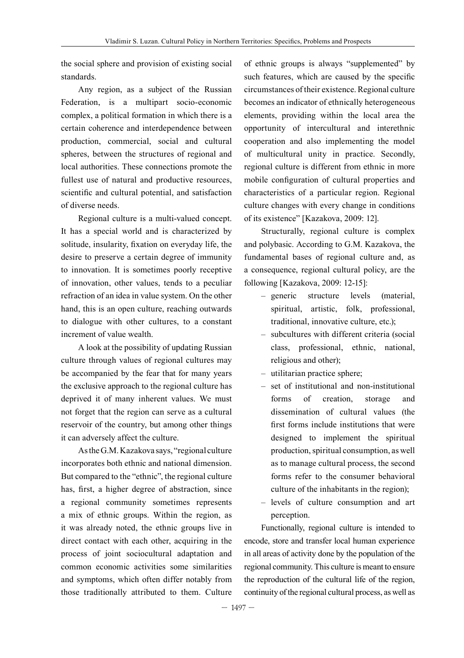the social sphere and provision of existing social standards.

Any region, as a subject of the Russian Federation, is a multipart socio-economic complex, a political formation in which there is a certain coherence and interdependence between production, commercial, social and cultural spheres, between the structures of regional and local authorities. These connections promote the fullest use of natural and productive resources, scientific and cultural potential, and satisfaction of diverse needs.

Regional culture is a multi-valued concept. It has a special world and is characterized by solitude, insularity, fixation on everyday life, the desire to preserve a certain degree of immunity to innovation. It is sometimes poorly receptive of innovation, other values, tends to a peculiar refraction of an idea in value system. On the other hand, this is an open culture, reaching outwards to dialogue with other cultures, to a constant increment of value wealth.

A look at the possibility of updating Russian culture through values of regional cultures may be accompanied by the fear that for many years the exclusive approach to the regional culture has deprived it of many inherent values. We must not forget that the region can serve as a cultural reservoir of the country, but among other things it can adversely affect the culture.

As the G.M. Kazakova says, "regional culture incorporates both ethnic and national dimension. But compared to the "ethnic", the regional culture has, first, a higher degree of abstraction, since a regional community sometimes represents a mix of ethnic groups. Within the region, as it was already noted, the ethnic groups live in direct contact with each other, acquiring in the process of joint sociocultural adaptation and common economic activities some similarities and symptoms, which often differ notably from those traditionally attributed to them. Culture

of ethnic groups is always "supplemented" by such features, which are caused by the specific circumstances of their existence. Regional culture becomes an indicator of ethnically heterogeneous elements, providing within the local area the opportunity of intercultural and interethnic cooperation and also implementing the model of multicultural unity in practice. Secondly, regional culture is different from ethnic in more mobile configuration of cultural properties and characteristics of a particular region. Regional culture changes with every change in conditions of its existence" [Kazakova, 2009: 12].

Structurally, regional culture is complex and polybasic. According to G.M. Kazakova, the fundamental bases of regional culture and, as a consequence, regional cultural policy, are the following [Kazakova, 2009: 12-15]:

- generic structure levels (material, spiritual, artistic, folk, professional, traditional, innovative culture, etc.);
- subcultures with different criteria (social class, professional, ethnic, national, religious and other);
- utilitarian practice sphere;
- set of institutional and non-institutional forms of creation, storage and dissemination of cultural values (the first forms include institutions that were designed to implement the spiritual production, spiritual consumption, as well as to manage cultural process, the second forms refer to the consumer behavioral culture of the inhabitants in the region);
- levels of culture consumption and art perception.

Functionally, regional culture is intended to encode, store and transfer local human experience in all areas of activity done by the population of the regional community. This culture is meant to ensure the reproduction of the cultural life of the region, continuity of the regional cultural process, as well as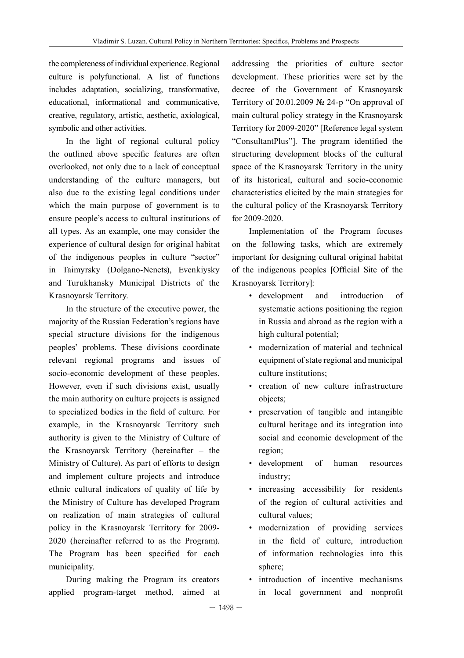the completeness of individual experience. Regional culture is polyfunctional. A list of functions includes adaptation, socializing, transformative, educational, informational and communicative, creative, regulatory, artistic, aesthetic, axiological, symbolic and other activities.

In the light of regional cultural policy the outlined above specific features are often overlooked, not only due to a lack of conceptual understanding of the culture managers, but also due to the existing legal conditions under which the main purpose of government is to ensure people's access to cultural institutions of all types. As an example, one may consider the experience of cultural design for original habitat of the indigenous peoples in culture "sector" in Taimyrsky (Dolgano-Nenets), Evenkiysky and Turukhansky Municipal Districts of the Krasnoyarsk Territory.

In the structure of the executive power, the majority of the Russian Federation's regions have special structure divisions for the indigenous peoples' problems. These divisions coordinate relevant regional programs and issues of socio-economic development of these peoples. However, even if such divisions exist, usually the main authority on culture projects is assigned to specialized bodies in the field of culture. For example, in the Krasnoyarsk Territory such authority is given to the Ministry of Culture of the Krasnoyarsk Territory (hereinafter – the Ministry of Culture). As part of efforts to design and implement culture projects and introduce ethnic cultural indicators of quality of life by the Ministry of Culture has developed Program on realization of main strategies of cultural policy in the Krasnoyarsk Territory for 2009- 2020 (hereinafter referred to as the Program). The Program has been specified for each municipality.

During making the Program its creators applied program-target method, aimed at addressing the priorities of culture sector development. These priorities were set by the decree of the Government of Krasnoyarsk Territory of 20.01.2009 № 24-p "On approval of main cultural policy strategy in the Krasnoyarsk Territory for 2009-2020" [Reference legal system "ConsultantPlus"]. The program identified the structuring development blocks of the cultural space of the Krasnoyarsk Territory in the unity of its historical, cultural and socio-economic characteristics elicited by the main strategies for the cultural policy of the Krasnoyarsk Territory for 2009-2020.

Implementation of the Program focuses on the following tasks, which are extremely important for designing cultural original habitat of the indigenous peoples [Official Site of the Krasnoyarsk Territory]:

- development and introduction of systematic actions positioning the region in Russia and abroad as the region with a high cultural potential;
- modernization of material and technical equipment of state regional and municipal culture institutions;
- creation of new culture infrastructure objects;
- preservation of tangible and intangible cultural heritage and its integration into social and economic development of the region;
- development of human resources industry;
- increasing accessibility for residents of the region of cultural activities and cultural values;
- modernization of providing services in the field of culture, introduction of information technologies into this sphere;
- introduction of incentive mechanisms in local government and nonprofit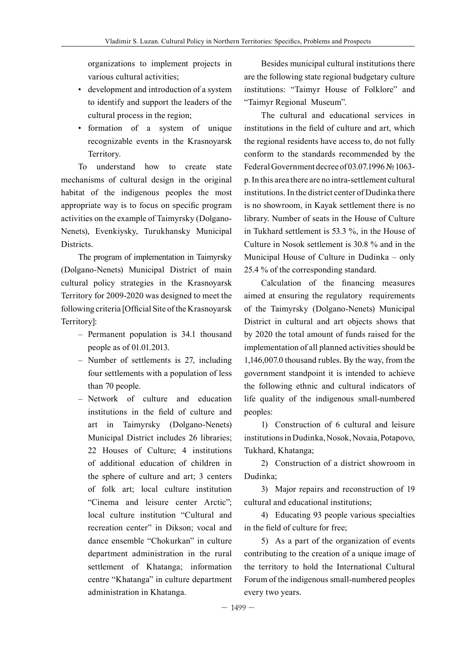organizations to implement projects in various cultural activities;

- development and introduction of a system to identify and support the leaders of the cultural process in the region;
- formation of a system of unique recognizable events in the Krasnoyarsk Territory.

To understand how to create state mechanisms of cultural design in the original habitat of the indigenous peoples the most appropriate way is to focus on specific program activities on the example of Taimyrsky (Dolgano-Nenets), Evenkiysky, Turukhansky Municipal Districts.

The program of implementation in Taimyrsky (Dolgano-Nenets) Municipal District of main cultural policy strategies in the Krasnoyarsk Territory for 2009-2020 was designed to meet the following criteria [Official Site of the Krasnoyarsk Territory]:

- Permanent population is 34.1 thousand people as of 01.01.2013.
- Number of settlements is 27, including four settlements with a population of less than 70 people.
- Network of culture and education institutions in the field of culture and art in Taimyrsky (Dolgano-Nenets) Municipal District includes 26 libraries; 22 Houses of Culture; 4 institutions of additional education of children in the sphere of culture and art; 3 centers of folk art; local culture institution "Cinema and leisure center Arctic"; local culture institution "Cultural and recreation center" in Dikson; vocal and dance ensemble "Chokurkan" in culture department administration in the rural settlement of Khatanga; information centre "Khatanga" in culture department administration in Khatanga.

Besides municipal cultural institutions there are the following state regional budgetary culture institutions: "Taimyr House of Folklore" and "Taimyr Regional Museum".

The cultural and educational services in institutions in the field of culture and art, which the regional residents have access to, do not fully conform to the standards recommended by the Federal Government decree of 03.07.1996 № 1063 p. In this area there are no intra-settlement cultural institutions. In the district center of Dudinka there is no showroom, in Kayak settlement there is no library. Number of seats in the House of Culture in Tukhard settlement is 53.3 %, in the House of Culture in Nosok settlement is 30.8 % and in the Municipal House of Culture in Dudinka – only 25.4 % of the corresponding standard.

Calculation of the financing measures aimed at ensuring the regulatory requirements of the Taimyrsky (Dolgano-Nenets) Municipal District in cultural and art objects shows that by 2020 the total amount of funds raised for the implementation of all planned activities should be 1,146,007.0 thousand rubles. By the way, from the government standpoint it is intended to achieve the following ethnic and cultural indicators of life quality of the indigenous small-numbered peoples:

1) Construction of 6 cultural and leisure institutions in Dudinka, Nosok, Novaia, Potapovo, Tukhard, Khatanga;

2) Construction of a district showroom in Dudinka;

3) Major repairs and reconstruction of 19 cultural and educational institutions;

4) Educating 93 people various specialties in the field of culture for free;

5) As a part of the organization of events contributing to the creation of a unique image of the territory to hold the International Cultural Forum of the indigenous small-numbered peoples every two years.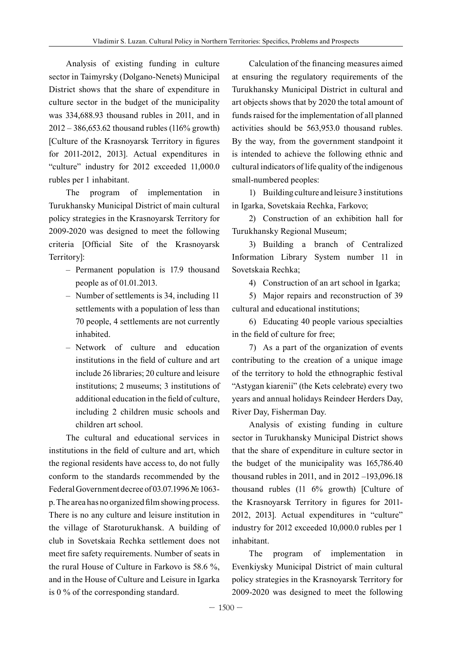Analysis of existing funding in culture sector in Taimyrsky (Dolgano-Nenets) Municipal District shows that the share of expenditure in culture sector in the budget of the municipality was 334,688.93 thousand rubles in 2011, and in 2012 – 386,653.62 thousand rubles (116% growth) [Culture of the Krasnoyarsk Territory in figures for 2011-2012, 2013]. Actual expenditures in "culture" industry for 2012 exceeded 11,000.0 rubles per 1 inhabitant.

The program of implementation in Turukhansky Municipal District of main cultural policy strategies in the Krasnoyarsk Territory for 2009-2020 was designed to meet the following criteria [Official Site of the Krasnoyarsk Territory]:

- Permanent population is 17.9 thousand people as of 01.01.2013.
- Number of settlements is 34, including 11 settlements with a population of less than 70 people, 4 settlements are not currently inhabited.
- Network of culture and education institutions in the field of culture and art include 26 libraries; 20 culture and leisure institutions; 2 museums; 3 institutions of additional education in the field of culture, including 2 children music schools and children art school.

The cultural and educational services in institutions in the field of culture and art, which the regional residents have access to, do not fully conform to the standards recommended by the Federal Government decree of 03.07.1996 №1063 p. The area has no organized film showing process. There is no any culture and leisure institution in the village of Staroturukhansk. A building of club in Sovetskaia Rechka settlement does not meet fire safety requirements. Number of seats in the rural House of Culture in Farkovo is 58.6 %, and in the House of Culture and Leisure in Igarka is 0 % of the corresponding standard.

Calculation of the financing measures aimed at ensuring the regulatory requirements of the Turukhansky Municipal District in cultural and art objects shows that by 2020 the total amount of funds raised for the implementation of all planned activities should be 563,953.0 thousand rubles. By the way, from the government standpoint it is intended to achieve the following ethnic and cultural indicators of life quality of the indigenous small-numbered peoples:

1) Building culture and leisure 3 institutions in Igarka, Sovetskaia Rechka, Farkovo;

2) Construction of an exhibition hall for Turukhansky Regional Museum;

3) Building a branch of Centralized Information Library System number 11 in Sovetskaia Rechka;

4) Construction of an art school in Igarka;

5) Major repairs and reconstruction of 39 cultural and educational institutions;

6) Educating 40 people various specialties in the field of culture for free;

7) As a part of the organization of events contributing to the creation of a unique image of the territory to hold the ethnographic festival "Astygan kiarenii" (the Kets celebrate) every two years and annual holidays Reindeer Herders Day, River Day, Fisherman Day.

Analysis of existing funding in culture sector in Turukhansky Municipal District shows that the share of expenditure in culture sector in the budget of the municipality was 165,786.40 thousand rubles in 2011, and in 2012 –193,096.18 thousand rubles (11 6% growth) [Culture of the Krasnoyarsk Territory in figures for 2011- 2012, 2013]. Actual expenditures in "culture" industry for 2012 exceeded 10,000.0 rubles per 1 inhabitant.

The program of implementation in Evenkiysky Municipal District of main cultural policy strategies in the Krasnoyarsk Territory for 2009-2020 was designed to meet the following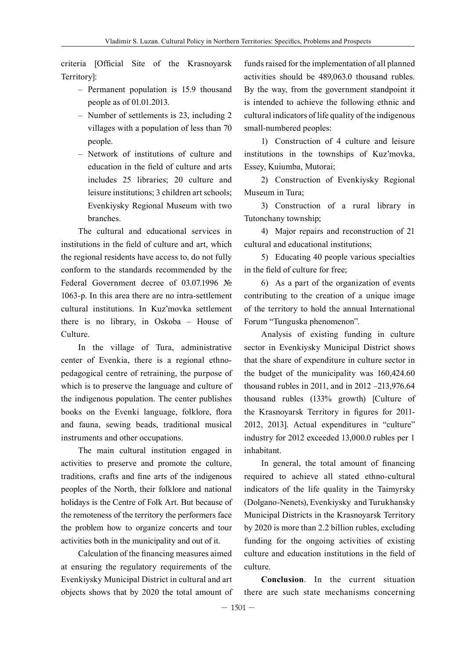criteria [Official Site of the Krasnoyarsk Territory]:

- Permanent population is 15.9 thousand people as of 01.01.2013.
- Number of settlements is 23, including 2 villages with a population of less than 70 people.
- Network of institutions of culture and education in the field of culture and arts includes 25 libraries; 20 culture and leisure institutions; 3 children art schools; Evenkiysky Regional Museum with two branches.

The cultural and educational services in institutions in the field of culture and art, which the regional residents have access to, do not fully conform to the standards recommended by the Federal Government decree of 03.07.1996 № 1063-p. In this area there are no intra-settlement cultural institutions. In Kuz'movka settlement there is no library, in Oskoba – House of Culture.

In the village of Tura, administrative center of Evenkia, there is a regional ethnopedagogical centre of retraining, the purpose of which is to preserve the language and culture of the indigenous population. The center publishes books on the Evenki language, folklore, flora and fauna, sewing beads, traditional musical instruments and other occupations.

The main cultural institution engaged in activities to preserve and promote the culture, traditions, crafts and fine arts of the indigenous peoples of the North, their folklore and national holidays is the Centre of Folk Art. But because of the remoteness of the territory the performers face the problem how to organize concerts and tour activities both in the municipality and out of it.

Calculation of the financing measures aimed at ensuring the regulatory requirements of the Evenkiysky Municipal District in cultural and art objects shows that by 2020 the total amount of funds raised for the implementation of all planned activities should be 489,063.0 thousand rubles. By the way, from the government standpoint it is intended to achieve the following ethnic and cultural indicators of life quality of the indigenous small-numbered peoples:

1) Construction of 4 culture and leisure institutions in the townships of Kuz'movka, Essey, Kuiumba, Mutorai;

2) Construction of Evenkiysky Regional Museum in Tura;

3) Construction of a rural library in Tutonchany township;

4) Major repairs and reconstruction of 21 cultural and educational institutions;

5) Educating 40 people various specialties in the field of culture for free;

6) As a part of the organization of events contributing to the creation of a unique image of the territory to hold the annual International Forum "Tunguska phenomenon".

Analysis of existing funding in culture sector in Evenkiysky Municipal District shows that the share of expenditure in culture sector in the budget of the municipality was 160,424.60 thousand rubles in 2011, and in 2012 –213,976.64 thousand rubles (133% growth) [Culture of the Krasnoyarsk Territory in figures for 2011- 2012, 2013]. Actual expenditures in "culture" industry for 2012 exceeded 13,000.0 rubles per 1 inhabitant.

In general, the total amount of financing required to achieve all stated ethno-cultural indicators of the life quality in the Taimyrsky (Dolgano-Nenets), Evenkiysky and Turukhansky Municipal Districts in the Krasnoyarsk Territory by 2020 is more than 2.2 billion rubles, excluding funding for the ongoing activities of existing culture and education institutions in the field of culture.

**Conclusion**. In the current situation there are such state mechanisms concerning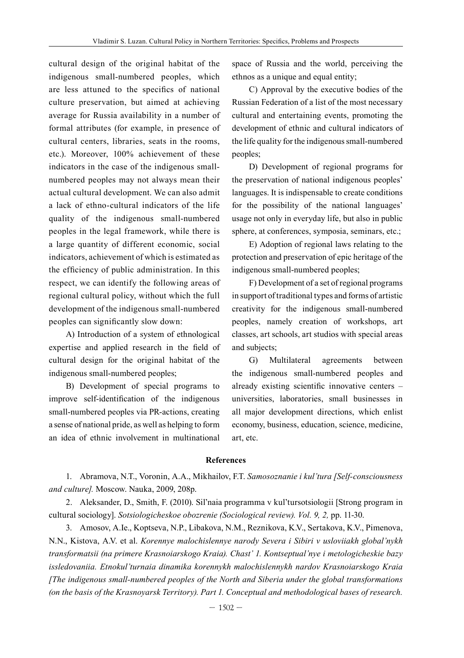cultural design of the original habitat of the indigenous small-numbered peoples, which are less attuned to the specifics of national culture preservation, but aimed at achieving average for Russia availability in a number of formal attributes (for example, in presence of cultural centers, libraries, seats in the rooms, etc.). Moreover, 100% achievement of these indicators in the case of the indigenous smallnumbered peoples may not always mean their actual cultural development. We can also admit a lack of ethno-cultural indicators of the life quality of the indigenous small-numbered peoples in the legal framework, while there is a large quantity of different economic, social indicators, achievement of which is estimated as the efficiency of public administration. In this respect, we can identify the following areas of regional cultural policy, without which the full development of the indigenous small-numbered peoples can significantly slow down:

А) Introduction of a system of ethnological expertise and applied research in the field of cultural design for the original habitat of the indigenous small-numbered peoples;

B) Development of special programs to improve self-identification of the indigenous small-numbered peoples via PR-actions, creating a sense of national pride, as well as helping to form an idea of ethnic involvement in multinational space of Russia and the world, perceiving the ethnos as a unique and equal entity;

C) Approval by the executive bodies of the Russian Federation of a list of the most necessary cultural and entertaining events, promoting the development of ethnic and cultural indicators of the life quality for the indigenous small-numbered peoples;

D) Development of regional programs for the preservation of national indigenous peoples' languages. It is indispensable to create conditions for the possibility of the national languages' usage not only in everyday life, but also in public sphere, at conferences, symposia, seminars, etc.;

E) Adoption of regional laws relating to the protection and preservation of epic heritage of the indigenous small-numbered peoples;

F) Development of a set of regional programs in support of traditional types and forms of artistic creativity for the indigenous small-numbered peoples, namely creation of workshops, art classes, art schools, art studios with special areas and subjects;

G) Multilateral agreements between the indigenous small-numbered peoples and already existing scientific innovative centers – universities, laboratories, small businesses in all major development directions, which enlist economy, business, education, science, medicine, art, etc.

#### **References**

1. Abramova, N.T., Voronin, A.A., Mikhailov, F.T. *Samosoznanie i kul'tura [Self-consciousness and culture].* Moscow. Nauka, 2009, 208p.

2. Aleksander, D., Smith, F. (2010). Sil'naia programma v kul'tursotsiologii [Strong program in cultural sociology]. *Sotsiologicheskoe obozrenie (Sociological review). Vol. 9, 2,* pp. 11-30.

3. Amosov, A.Ie., Koptseva, N.P., Libakova, N.M., Reznikova, K.V., Sertakova, K.V., Pimenova, N.N., Kistova, A.V. et al. *Korennye malochislennye narody Severa i Sibiri v usloviiakh global'nykh transformatsii (na primere Krasnoiarskogo Kraia). Chast' 1. Kontseptual'nye i metologicheskie bazy issledovaniia. Etnokul'turnaia dinamika korennykh malochislennykh nardov Krasnoiarskogo Kraia [The indigenous small-numbered peoples of the North and Siberia under the global transformations (on the basis of the Krasnoyarsk Territory). Part 1. Conceptual and methodological bases of research.*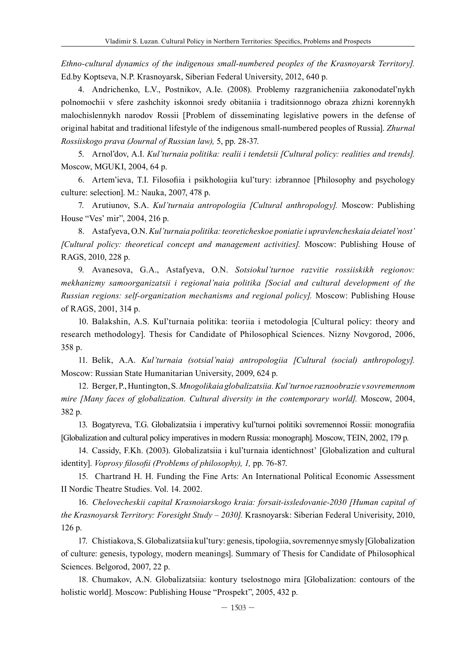*Ethno-cultural dynamics of the indigenous small-numbered peoples of the Krasnoyarsk Territory].*  Ed.by Koptseva, N.P. Кrasnoyarsk, Siberian Federal University, 2012, 640 p.

4. Andrichenko, L.V., Postnikov, A.Ie. (2008). Problemy razgranicheniia zakonodatel'nykh polnomochii v sfere zashchity iskonnoi sredy obitaniia i traditsionnogo obraza zhizni korennykh malochislennykh narodov Rossii [Problem of disseminating legislative powers in the defense of original habitat and traditional lifestyle of the indigenous small-numbered peoples of Russia]. *Zhurnal Rossiiskogo prava (Journal of Russian law),* 5, pp. 28-37.

5. Arnol'dov, A.I. *Kul'turnaia politika: realii i tendetsii [Cultural policy: realities and trends].*  Moscow, MGUKI, 2004, 64 p.

6. Artem'ieva, T.I. Filosofiia i psikhologiia kul'tury: izbrannoe [Philosophy and psychology culture: selection]. M.: Nauka, 2007, 478 p.

7. Arutiunov, S.A. *Kul'turnaia antropologiia [Cultural anthropology].* Moscow: Publishing House "Ves' mir", 2004, 216 p.

8. Astafyeva, O.N. *Kul'turnaia politika: teoreticheskoe poniatie i upravlencheskaia deiatel'nost' [Cultural policy: theoretical concept and management activities].* Moscow: Publishing House of RAGS, 2010, 228 p.

9. Avanesova, G.A., Astafyeva, O.N. *Sotsiokul'turnoe razvitie rossiiskikh regionov: mekhanizmy samoorganizatsii i regional'naia politika [Social and cultural development of the Russian regions: self-organization mechanisms and regional policy].* Moscow: Publishing House of RAGS, 2001, 314 p.

10. Balakshin, A.S. Kul'turnaia politika: teoriia i metodologia [Cultural policy: theory and research methodology]. Thesis for Candidate of Philosophical Sciences. Nizny Novgorod, 2006, 358 p.

11. Belik, A.A. *Kul'turnaia (sotsial'naia) antropologiia [Cultural (social) anthropology].* Moscow: Russian State Humanitarian University, 2009, 624 p.

12. Berger, P., Huntington, S. *Mnogolikaia globalizatsiia. Kul'turnoe raznoobrazie v sovremennom mire [Many faces of globalization. Cultural diversity in the contemporary world].* Moscow, 2004, 382 p.

13. Bogatyreva, T.G. Globalizatsiia i imperativy kul'turnoi politiki sovremennoi Rossii: monografiia [Globalization and cultural policy imperatives in modern Russia: monograph]. Moscow, TEIN, 2002, 179 p.

14. Cassidy, F.Kh. (2003). Globalizatsiia i kul'turnaia identichnost' [Globalization and cultural identity]. *Voprosy filosofii (Problems of philosophy), 1,* pp. 76-87.

15. Chartrand H. H. Funding the Fine Arts: An International Political Economic Assessment II Nordic Theatre Studies. Vol. 14. 2002.

16. *Chelovecheskii capital Krasnoiarskogo kraia: forsait-issledovanie-2030 [Human capital of the Krasnoyarsk Territory: Foresight Study – 2030].* Krasnoyarsk: Siberian Federal Univerisity, 2010, 126 p.

17. Chistiakova, S. Globalizatsiia kul'tury: genesis, tipologiia, sovremennye smysly [Globalization of culture: genesis, typology, modern meanings]. Summary of Thesis for Candidate of Philosophical Sciences. Belgorod, 2007, 22 p.

18. Chumakov, A.N. Globalizatsiia: kontury tselostnogo mira [Globalization: contours of the holistic world]. Moscow: Publishing House "Prospekt", 2005, 432 p.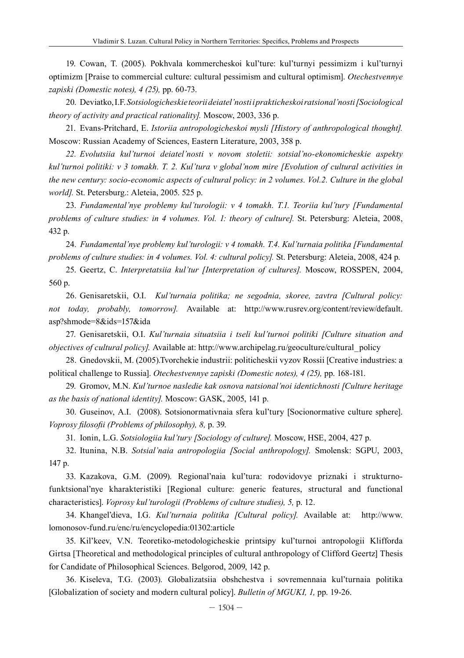19. Cowan, T. (2005). Pokhvala kommercheskoi kul'ture: kul'turnyi pessimizm i kul'turnyi optimizm [Praise to commercial culture: cultural pessimism and cultural optimism]. *Otechestvennye zapiski (Domestic notes), 4 (25),* pp. 60-73.

20. Deviatko, I.F. *Sotsiologicheskie teorii deiatel'nosti i prakticheskoi ratsional'nosti [Sociological theory of activity and practical rationality].* Moscow, 2003, 336 p.

21. Evans-Pritchard, E. *Istoriia antropologicheskoi mysli [History of anthropological thought].* Moscow: Russian Academy of Sciences, Eastern Literature, 2003, 358 p.

*22. Evolutsiia kul'turnoi deiatel'nosti v novom stoletii: sotsial'no-ekonomicheskie aspekty kul'turnoi politiki: v 3 tomakh. T. 2. Kul'tura v global'nom mire [Evolution of cultural activities in the new century: socio-economic aspects of cultural policy: in 2 volumes. Vol.2. Culture in the global world].* St. Petersburg.: Aleteia, 2005. 525 p.

23. *Fundamental'nye problemy kul'turologii: v 4 tomakh. T.1. Teoriia kul'tury [Fundamental problems of culture studies: in 4 volumes. Vol. 1: theory of culture].* St. Petersburg: Aleteia, 2008, 432 p.

24. *Fundamental'nye problemy kul'turologii: v 4 tomakh. T.4. Kul'turnaia politika [Fundamental problems of culture studies: in 4 volumes. Vol. 4: cultural policy].* St. Petersburg: Aleteia, 2008, 424 p.

25. Geertz, C. *Interpretatsiia kul'tur [Interpretation of cultures].* Moscow, ROSSPEN, 2004, 560 p.

26. Genisaretskii, O.I. *Kul'turnaia politika; ne segodnia, skoree, zavtra [Cultural policy: not today, probably, tomorrow].* Available at: http://www.rusrev.org/content/review/default. asp?shmode=8&ids=157&ida

27. Genisaretskii, O.I. *Kul'turnaia situatsiia i tseli kul'turnoi politiki [Culture situation and objectives of cultural policy].* Available at: http://www.archipelag.ru/geoculture/cultural\_policy

28. Gnedovskii, M. (2005).Tvorchekie industrii: politicheskii vyzov Rossii [Creative industries: a political challenge to Russia]. *Otechestvennye zapiski (Domestic notes), 4 (25),* pp. 168-181.

29. Gromov, M.N. *Kul'turnoe nasledie kak osnova natsional'noi identichnosti [Culture heritage as the basis of national identity].* Moscow: GASK, 2005, 141 p.

30. Guseinov, A.I. (2008). Sotsionormativnaia sfera kul'tury [Socionormative culture sphere]. *Voprosy filosofii (Problems of philosophy), 8,* p. 39.

31. Ionin, L.G. *Sotsiologiia kul'tury [Sociology of culture].* Moscow, HSE, 2004, 427 p.

32. Itunina, N.B. *Sotsial'naia antropologiia [Social anthropology].* Smolensk: SGPU, 2003, 147 p.

33. Kazakova, G.M. (2009). Regional'naia kul'tura: rodovidovye priznaki i strukturnofunktsional'nye kharakteristiki [Regional culture: generic features, structural and functional characteristics]. *Voprosy kul'turologii (Problems of culture studies), 5,* p. 12.

34. Khangel'dieva, I.G. *Kul'turnaia politika [Cultural policy].* Available at: http://www. lomonosov-fund.ru/enc/ru/encyclopedia:01302:article

35. Kil'keev, V.N. Teoretiko-metodologicheskie printsipy kul'turnoi antropologii Klifforda Girtsa [Theoretical and methodological principles of cultural anthropology of Clifford Geertz] Thesis for Candidate of Philosophical Sciences. Belgorod, 2009, 142 p.

36. Kiseleva, T.G. (2003). Globalizatsiia obshchestva i sovremennaia kul'turnaia politika [Globalization of society and modern cultural policy]. *Bulletin of MGUKI, 1,* pp. 19-26.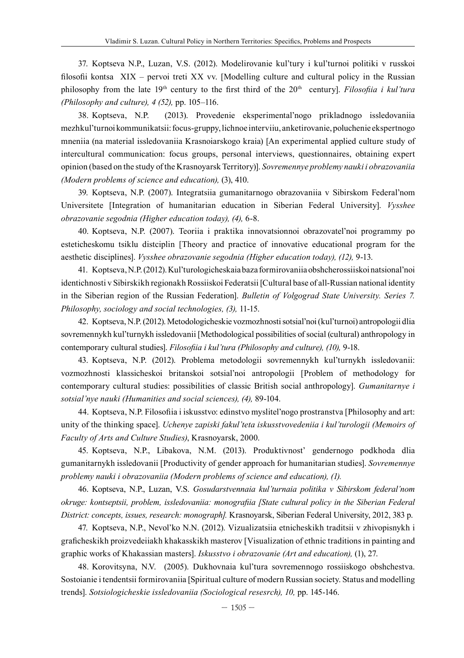37. Koptseva N.P., Luzan, V.S. (2012). Modelirovanie kul'tury i kul'turnoi politiki v russkoi filosofii kontsa XIX – pervoi treti XX vv. [Modelling culture and cultural policy in the Russian philosophy from the late 19th century to the first third of the 20th century]. *Filosofiia i kul'tura (Philosophy and culture), 4 (52),* pp. 105–116.

38. Koptseva, N.P. (2013). Provedenie eksperimental'nogo prikladnogo issledovaniia mezhkul'turnoi kommunikatsii: focus-gruppy, lichnoe interviiu, anketirovanie, poluchenie ekspertnogo mneniia (na material issledovaniia Krasnoiarskogo kraia) [An experimental applied culture study of intercultural communication: focus groups, personal interviews, questionnaires, obtaining expert opinion (based on the study of the Krasnoyarsk Territory)]. *Sovremennye problemy nauki i obrazovaniia (Modern problems of science and education),* (3), 410.

39. Koptseva, N.P. (2007). Integratsiia gumanitarnogo obrazovaniia v Sibirskom Federal'nom Universitete [Integration of humanitarian education in Siberian Federal University]. *Vysshee obrazovanie segodnia (Higher education today), (4),* 6-8.

40. Koptseva, N.P. (2007). Teoriia i praktika innovatsionnoi obrazovatel'noi programmy po esteticheskomu tsiklu distciplin [Theory and practice of innovative educational program for the aesthetic disciplines]. *Vysshee obrazovanie segodnia (Higher education today), (12),* 9-13.

41. Koptseva, N.P. (2012). Kul'turologicheskaia baza formirovaniia obshcherossiiskoi natsional'noi identichnosti v Sibirskikh regionakh Rossiiskoi Federatsii [Cultural base of all-Russian national identity in the Siberian region of the Russian Federation]. *Bulletin of Volgograd State University. Series 7. Philosophy, sociology and social technologies, (3),* 11-15.

42. Koptseva, N.P. (2012). Metodologicheskie vozmozhnosti sotsial'noi (kul'turnoi) antropologii dlia sovremennykh kul'turnykh issledovanii [Methodological possibilities of social (cultural) anthropology in contemporary cultural studies]. *Filosofiia i kul'tura (Philosophy and culture), (10),* 9-18.

43. Koptseva, N.P. (2012). Problema metodologii sovremennykh kul'turnykh issledovanii: vozmozhnosti klassicheskoi britanskoi sotsial'noi antropologii [Problem of methodology for contemporary cultural studies: possibilities of classic British social anthropology]. *Gumanitarnye i sotsial'nye nauki (Humanities and social sciences), (4),* 89-104.

44. Koptseva, N.P. Filosofiia i iskusstvo: edinstvo myslitel'nogo prostranstva [Philosophy and art: unity of the thinking space]. *Uchenye zapiski fakul'teta iskusstvovedeniia i kul'turologii (Memoirs of Faculty of Arts and Culture Studies)*, Krasnoyarsk, 2000.

45. Koptseva, N.P., Libakova, N.M. (2013). Produktivnost' gendernogo podkhoda dlia gumanitarnykh issledovanii [Productivity of gender approach for humanitarian studies]. *Sovremennye problemy nauki i obrazovaniia (Modern problems of science and education), (1).*

46. Koptseva, N.P., Luzan, V.S. *Gosudarstvennaia kul'turnaia politika v Sibirskom federal'nom okruge: kontseptsii, problem, issledovaniia: monografiia [State cultural policy in the Siberian Federal District: concepts, issues, research: monograph].* Krasnoyarsk, Siberian Federal University, 2012, 383 p.

47. Koptseva, N.P., Nevol'ko N.N. (2012). Vizualizatsiia etnicheskikh traditsii v zhivopisnykh i graficheskikh proizvedeiiakh khakasskikh masterov [Visualization of ethnic traditions in painting and graphic works of Khakassian masters]. *Iskusstvo i obrazovanie (Art and education),* (1), 27.

48. Korovitsyna, N.V. (2005). Dukhovnaia kul'tura sovremennogo rossiiskogo obshchestva. Sostoianie i tendentsii formirovaniia [Spiritual culture of modern Russian society. Status and modelling trends]. *Sotsiologicheskie issledovaniia (Sociological resesrch), 10,* pp. 145-146.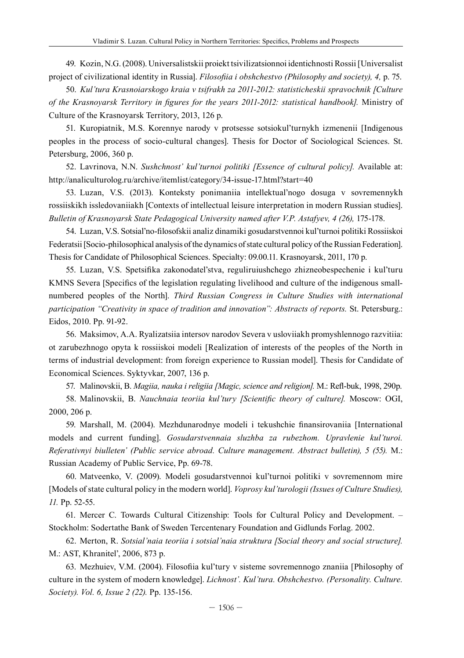49. Kozin, N.G. (2008). Universalistskii proiekt tsivilizatsionnoi identichnosti Rossii [Universalist project of civilizational identity in Russia]. *Filosofiia i obshchestvo (Philosophy and society), 4,* p. 75.

50. *Kul'tura Krasnoiarskogo kraia v tsifrakh za 2011-2012: statisticheskii spravochnik [Culture of the Krasnoyarsk Territory in figures for the years 2011-2012: statistical handbook].* Ministry of Culture of the Krasnoyarsk Territory, 2013, 126 p.

51. Kuropiatnik, M.S. Korennye narody v protsesse sotsiokul'turnykh izmenenii [Indigenous peoples in the process of socio-cultural changes]. Thesis for Doctor of Sociological Sciences. St. Petersburg, 2006, 360 p.

52. Lavrinova, N.N. *Sushchnost' kul'turnoi politiki [Essence of cultural policy].* Available at: http://analiculturolog.ru/archive/itemlist/category/34-issue-17.html?start=40

53. Luzan, V.S. (2013). Konteksty ponimaniia intellektual'nogo dosuga v sovremennykh rossiiskikh issledovaniiakh [Contexts of intellectual leisure interpretation in modern Russian studies]. *Bulletin of Krasnoyarsk State Pedagogical University named after V.P. Astafyev, 4 (26),* 175-178.

54. Luzan, V.S. Sotsial'no-filosofskii analiz dinamiki gosudarstvennoi kul'turnoi politiki Rossiiskoi Federatsii [Socio-philosophical analysis of the dynamics of state cultural policy of the Russian Federation]. Thesis for Candidate of Philosophical Sciences. Specialty: 09.00.11. Krasnoyarsk, 2011, 170 p.

55. Luzan, V.S. Spetsifika zakonodatel'stva, reguliruiushchego zhizneobespechenie i kul'turu KMNS Severa [Specifics of the legislation regulating livelihood and culture of the indigenous smallnumbered peoples of the North]. *Third Russian Congress in Culture Studies with international participation "Creativity in space of tradition and innovation": Abstracts of reports.* St. Petersburg.: Eidos, 2010. Pp. 91-92.

56. Maksimov, A.A. Rуalizatsiia intersov narodov Severa v usloviiakh promyshlennogo razvitiia: ot zarubezhnogo opyta k rossiiskoi modeli [Realization of interests of the peoples of the North in terms of industrial development: from foreign experience to Russian model]. Thesis for Candidate of Economical Sciences. Syktyvkar, 2007, 136 p.

57. Malinovskii, B. *Magiia, nauka i religiia [Magic, science and religion].* M.: Refl-buk, 1998, 290p.

58. Malinovskii, B. *Nauchnaia teoriia kul'tury [Scientific theory of culture].* Moscow: OGI, 2000, 206 p.

59. Marshall, M. (2004). Mezhdunarodnye modeli i tekushchie finansirovaniia [International models and current funding]. *Gosudarstvennaia sluzhba za rubezhom. Upravlenie kul'turoi. Referativnyi biulleten' (Public service abroad. Culture management. Abstract bulletin), 5 (55).* М.: Russian Academy of Public Service, Pp. 69-78.

60. Matveenko, V. (2009). Modeli gosudarstvennoi kul'turnoi politiki v sovremennom mire [Models of state cultural policy in the modern world]. *Voprosy kul'turologii (Issues of Culture Studies), 11.* Pp. 52-55.

61. Mercer С. Towards Cultural Citizenship: Tools for Cultural Policy and Development. – Stockholm: Sodertathe Bank of Sweden Tercentenary Foundation and Gidlunds Forlag. 2002.

62. Merton, R. *Sotsial'naia teoriia i sotsial'naia struktura [Social theory and social structure].* M.: AST, Khranitel', 2006, 873 p.

63. Mezhuiev, V.M. (2004). Filosofiia kul'tury v sisteme sovremennogo znaniia [Philosophy of culture in the system of modern knowledge]. *Lichnost'. Kul'tura. Obshchestvo. (Personality. Culture. Society). Vol. 6, Issue 2 (22).* Pp. 135-156.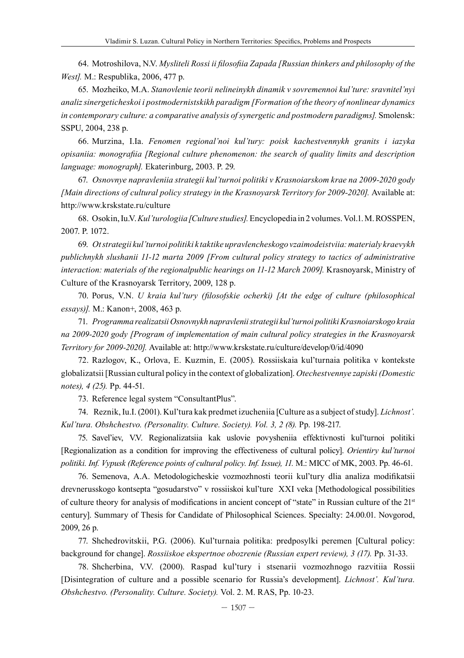64. Motroshilova, N.V. *Mysliteli Rossi ii filosofiia Zapada [Russian thinkers and philosophy of the West].* M.: Respublika, 2006, 477 p.

65. Mozheiko, M.A. *Stanovlenie teorii nelineinykh dinamik v sovremennoi kul'ture: sravnitel'nyi analiz sinergeticheskoi i postmodernistskikh paradigm [Formation of the theory of nonlinear dynamics in contemporary culture: a comparative analysis of synergetic and postmodern paradigms].* Smolensk: SSPU, 2004, 238 p.

66. Murzina, I.Ia. *Fenomen regional'noi kul'tury: poisk kachestvennykh granits i iazyka opisaniia: monografiia [Regional culture phenomenon: the search of quality limits and description language: monograph].* Ekaterinburg, 2003. P. 29.

67. *Osnovnye napravleniia strategii kul'turnoi politiki v Krasnoiarskom krae na 2009-2020 gody [Main directions of cultural policy strategy in the Krasnoyarsk Territory for 2009-2020].* Available at: http://www.krskstate.ru/culture

68. Osokin, Iu.V. *Kul'turologiia [Culture studies].* Encyclopedia in 2 volumes. Vol.1. M. ROSSPEN, 2007. P. 1072.

69. *Ot strategii kul'turnoi politiki k taktike upravlencheskogo vzaimodeistviia: materialy kraevykh publichnykh slushanii 11-12 marta 2009 [From cultural policy strategy to tactics of administrative interaction: materials of the regionalpublic hearings on 11-12 March 2009].* Krasnoyarsk, Ministry of Culture of the Krasnoyarsk Territory, 2009, 128 p.

70. Porus, V.N. *U kraia kul'tury (filosofskie ocherki) [At the edge of culture (philosophical essays)].* M.: Kanon+, 2008, 463 p.

71. *Programma realizatsii Osnovnykh napravlenii strategii kul'turnoi politiki Krasnoiarskogo kraia na 2009-2020 gody [Program of implementation of main cultural policy strategies in the Krasnoyarsk Territory for 2009-2020].* Available at: http://www.krskstate.ru/culture/develop/0/id/4090

72. Razlogov, K., Orlova, E. Kuzmin, E. (2005). Rossiiskaia kul'turnaia politika v kontekste globalizatsii [Russian cultural policy in the context of globalization]. *Otechestvennye zapiski (Domestic notes), 4 (25).* Pp. 44-51.

73. Reference legal system "ConsultantPlus".

74. Reznik, Iu.I. (2001). Kul'tura kak predmet izucheniia [Culture as a subject of study]. *Lichnost'. Kul'tura. Obshchestvo. (Personality. Culture. Society). Vol. 3, 2 (8).* Pp. 198-217.

75. Savel'iev, V.V. Regionalizatsiia kak uslovie povysheniia effektivnosti kul'turnoi politiki [Regionalization as a condition for improving the effectiveness of cultural policy]. *Orientiry kul'turnoi politiki. Inf. Vypusk (Reference points of cultural policy. Inf. Issue), 11.* M.: MICC of MK, 2003. Pp. 46-61.

76. Semenova, A.A. Metodologicheskie vozmozhnosti teorii kul'tury dlia analiza modifikatsii drevnerusskogo kontsepta "gosudarstvo" v rossiiskoi kul'ture XXI veka [Methodological possibilities of culture theory for analysis of modifications in ancient concept of "state" in Russian culture of the 21st century]. Summary of Thesis for Candidate of Philosophical Sciences. Specialty: 24.00.01. Novgorod, 2009, 26 p.

77. Shchedrovitskii, P.G. (2006). Kul'turnaia politika: predposylki peremen [Cultural policy: background for change]. *Rossiiskoe ekspertnoe obozrenie (Russian expert review), 3 (17).* Pp. 31-33.

78. Shcherbina, V.V. (2000). Raspad kul'tury i stsenarii vozmozhnogo razvitiia Rossii [Disintegration of culture and a possible scenario for Russia's development]. *Lichnost'. Kul'tura. Obshchestvo. (Personality. Culture. Society).* Vol. 2. M. RAS, Pp. 10-23.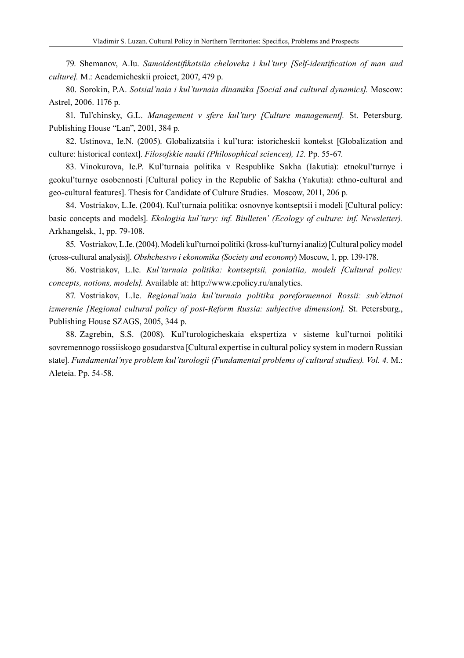79. Shemanov, A.Iu. *Samoidentifikatsiia cheloveka i kul'tury [Self-identification of man and culture].* M.: Academicheskii proiect, 2007, 479 p.

80. Sorokin, P.A. *Sotsial'naia i kul'turnaia dinamika [Social and cultural dynamics].* Moscow: Astrel, 2006. 1176 p.

81. Tul'chinsky, G.L. *Management v sfere kul'tury [Culture management].* St. Petersburg. Publishing House "Lan", 2001, 384 p.

82. Ustinova, Ie.N. (2005). Globalizatsiia i kul'tura: istoricheskii kontekst [Globalization and culture: historical context]. *Filosofskie nauki (Philosophical sciences), 12.* Pp. 55-67.

83. Vinokurova, Ie.P. Kul'turnaia politika v Respublike Sakha (Iakutia): etnokul'turnye i geokul'turnye osobennosti [Cultural policy in the Republic of Sakha (Yakutia): ethno-cultural and geo-cultural features]. Thesis for Candidate of Culture Studies. Moscow, 2011, 206 p.

84. Vostriakov, L.Ie. (2004). Kul'turnaia politika: osnovnye kontseptsii i modeli [Cultural policy: basic concepts and models]. *Ekologiia kul'tury: inf. Biulleten' (Ecology of culture: inf. Newsletter).*  Arkhangelsk, 1, pp. 79-108.

85. Vostriakov, L.Ie. (2004). Modeli kul'turnoi politiki (kross-kul'turnyi analiz) [Cultural policy model (cross-cultural analysis)]. *Obshchestvo i ekonomika (Society and economy*) Moscow, 1, pp. 139-178.

86. Vostriakov, L.Ie. *Kul'turnaia politika: kontseptsii, poniatiia, modeli [Cultural policy: concepts, notions, models].* Available at: http://www.cpolicy.ru/analytics.

87. Vostriakov, L.Ie. *Regional'naia kul'turnaia politika poreformennoi Rossii: sub'ektnoi izmerenie [Regional cultural policy of post-Reform Russia: subjective dimension].* St. Petersburg., Publishing House SZAGS, 2005, 344 p.

88. Zagrebin, S.S. (2008). Kul'turologicheskaia ekspertiza v sisteme kul'turnoi politiki sovremennogo rossiiskogo gosudarstva [Cultural expertise in cultural policy system in modern Russian state]. *Fundamental'nye problem kul'turologii (Fundamental problems of cultural studies). Vol. 4.* M.: Aleteia. Pp. 54-58.